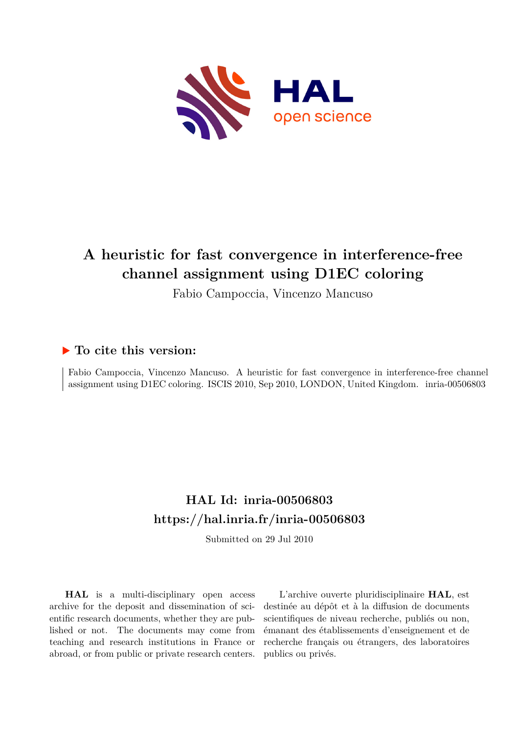

# **A heuristic for fast convergence in interference-free channel assignment using D1EC coloring**

Fabio Campoccia, Vincenzo Mancuso

## **To cite this version:**

Fabio Campoccia, Vincenzo Mancuso. A heuristic for fast convergence in interference-free channel assignment using D1EC coloring. ISCIS 2010, Sep 2010, LONDON, United Kingdom. inria-00506803

## **HAL Id: inria-00506803 <https://hal.inria.fr/inria-00506803>**

Submitted on 29 Jul 2010

**HAL** is a multi-disciplinary open access archive for the deposit and dissemination of scientific research documents, whether they are published or not. The documents may come from teaching and research institutions in France or abroad, or from public or private research centers.

L'archive ouverte pluridisciplinaire **HAL**, est destinée au dépôt et à la diffusion de documents scientifiques de niveau recherche, publiés ou non, émanant des établissements d'enseignement et de recherche français ou étrangers, des laboratoires publics ou privés.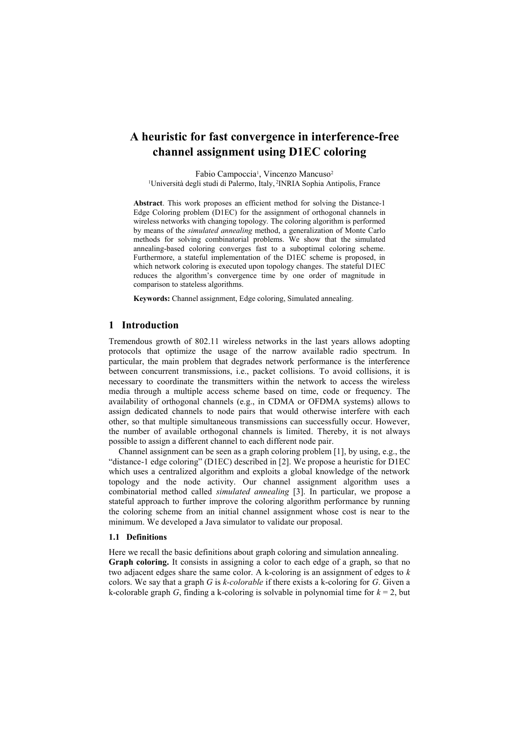### **A heuristic for fast convergence in interference-free channel assignment using D1EC coloring**

Fabio Campoccia<sup>1</sup>, Vincenzo Mancuso<sup>2</sup> <sup>1</sup>Università degli studi di Palermo, Italy, <sup>2</sup>INRIA Sophia Antipolis, France

**Abstract**. This work proposes an efficient method for solving the Distance-1 Edge Coloring problem (D1EC) for the assignment of orthogonal channels in wireless networks with changing topology. The coloring algorithm is performed by means of the *simulated annealing* method, a generalization of Monte Carlo methods for solving combinatorial problems. We show that the simulated annealing-based coloring converges fast to a suboptimal coloring scheme. Furthermore, a stateful implementation of the D1EC scheme is proposed, in which network coloring is executed upon topology changes. The stateful D1EC reduces the algorithm's convergence time by one order of magnitude in comparison to stateless algorithms.

**Keywords:** Channel assignment, Edge coloring, Simulated annealing.

#### **1 Introduction**

Tremendous growth of 802.11 wireless networks in the last years allows adopting protocols that optimize the usage of the narrow available radio spectrum. In particular, the main problem that degrades network performance is the interference between concurrent transmissions, i.e., packet collisions. To avoid collisions, it is necessary to coordinate the transmitters within the network to access the wireless media through a multiple access scheme based on time, code or frequency. The availability of orthogonal channels (e.g., in CDMA or OFDMA systems) allows to assign dedicated channels to node pairs that would otherwise interfere with each other, so that multiple simultaneous transmissions can successfully occur. However, the number of available orthogonal channels is limited. Thereby, it is not always possible to assign a different channel to each different node pair.

Channel assignment can be seen as a graph coloring problem [1], by using, e.g., the "distance-1 edge coloring" (D1EC) described in [2]. We propose a heuristic for D1EC which uses a centralized algorithm and exploits a global knowledge of the network topology and the node activity. Our channel assignment algorithm uses a combinatorial method called *simulated annealing* [3]. In particular, we propose a stateful approach to further improve the coloring algorithm performance by running the coloring scheme from an initial channel assignment whose cost is near to the minimum. We developed a Java simulator to validate our proposal.

#### **1.1 Definitions**

Here we recall the basic definitions about graph coloring and simulation annealing.

**Graph coloring.** It consists in assigning a color to each edge of a graph, so that no two adjacent edges share the same color. A k-coloring is an assignment of edges to *k* colors. We say that a graph *G* is *k-colorable* if there exists a k-coloring for *G*. Given a k-colorable graph *G*, finding a k-coloring is solvable in polynomial time for  $k = 2$ , but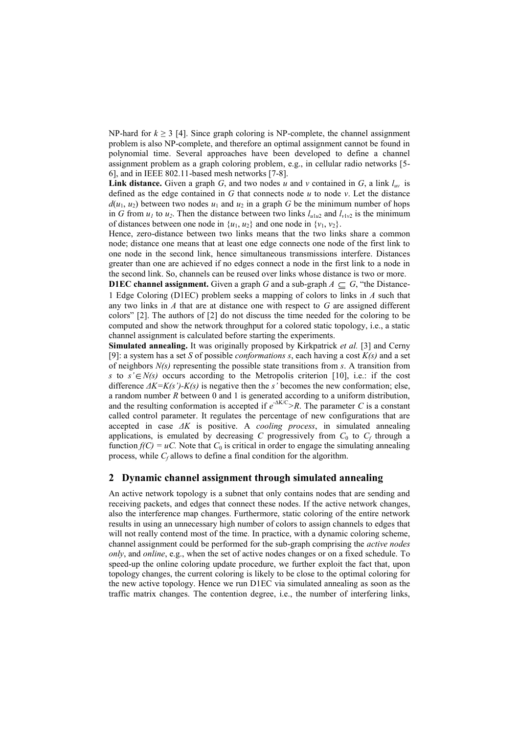NP-hard for  $k \geq 3$  [4]. Since graph coloring is NP-complete, the channel assignment problem is also NP-complete, and therefore an optimal assignment cannot be found in polynomial time. Several approaches have been developed to define a channel assignment problem as a graph coloring problem, e.g., in cellular radio networks [5- 6], and in IEEE 802.11-based mesh networks [7-8].

**Link distance.** Given a graph *G*, and two nodes *u* and *v* contained in *G*, a link  $l_{uv}$  is defined as the edge contained in *G* that connects node *u* to node *v*. Let the distance  $d(u_1, u_2)$  between two nodes  $u_1$  and  $u_2$  in a graph *G* be the minimum number of hops in *G* from  $u_1$  to  $u_2$ . Then the distance between two links  $l_{u1u2}$  and  $l_{v1v2}$  is the minimum of distances between one node in  $\{u_1, u_2\}$  and one node in  $\{v_1, v_2\}$ .

Hence, zero-distance between two links means that the two links share a common node; distance one means that at least one edge connects one node of the first link to one node in the second link, hence simultaneous transmissions interfere. Distances greater than one are achieved if no edges connect a node in the first link to a node in the second link. So, channels can be reused over links whose distance is two or more.

**D1EC channel assignment.** Given a graph *G* and a sub-graph  $A \subseteq G$ , "the Distance-1 Edge Coloring (D1EC) problem seeks a mapping of colors to links in *A* such that any two links in *A* that are at distance one with respect to *G* are assigned different colors" [2]. The authors of [2] do not discuss the time needed for the coloring to be computed and show the network throughput for a colored static topology, i.e., a static channel assignment is calculated before starting the experiments.

**Simulated annealing.** It was originally proposed by Kirkpatrick *et al.* [3] and Cerny [9]: a system has a set *S* of possible *conformations s*, each having a cost *K(s)* and a set of neighbors *N(s)* representing the possible state transitions from *s*. A transition from *s* to  $s' \in N(s)$  occurs according to the Metropolis criterion [10], i.e.: if the cost difference *ΔK=K(s')-K(s)* is negative then the *s'* becomes the new conformation; else, a random number *R* between 0 and 1 is generated according to a uniform distribution, and the resulting conformation is accepted if  $e^{-\Delta K/C}$ >R. The parameter *C* is a constant called control parameter. It regulates the percentage of new configurations that are accepted in case *ΔK* is positive. A *cooling process*, in simulated annealing applications, is emulated by decreasing *C* progressively from  $C_0$  to  $C_f$  through a function  $f(C) = uC$ . Note that  $C_0$  is critical in order to engage the simulating annealing process, while *C<sup>f</sup>* allows to define a final condition for the algorithm.

#### **2 Dynamic channel assignment through simulated annealing**

An active network topology is a subnet that only contains nodes that are sending and receiving packets, and edges that connect these nodes. If the active network changes, also the interference map changes. Furthermore, static coloring of the entire network results in using an unnecessary high number of colors to assign channels to edges that will not really contend most of the time. In practice, with a dynamic coloring scheme, channel assignment could be performed for the sub-graph comprising the *active nodes only*, and *online*, e.g., when the set of active nodes changes or on a fixed schedule. To speed-up the online coloring update procedure, we further exploit the fact that, upon topology changes, the current coloring is likely to be close to the optimal coloring for the new active topology. Hence we run D1EC via simulated annealing as soon as the traffic matrix changes. The contention degree, i.e., the number of interfering links,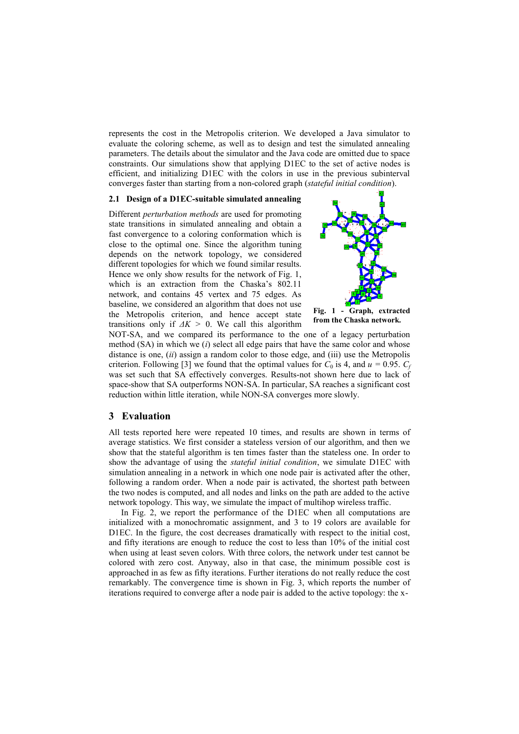represents the cost in the Metropolis criterion. We developed a Java simulator to evaluate the coloring scheme, as well as to design and test the simulated annealing parameters. The details about the simulator and the Java code are omitted due to space constraints. Our simulations show that applying D1EC to the set of active nodes is efficient, and initializing D1EC with the colors in use in the previous subinterval converges faster than starting from a non-colored graph (*stateful initial condition*).

#### **2.1 Design of a D1EC-suitable simulated annealing**

Different *perturbation methods* are used for promoting state transitions in simulated annealing and obtain a fast convergence to a coloring conformation which is close to the optimal one. Since the algorithm tuning depends on the network topology, we considered different topologies for which we found similar results. Hence we only show results for the network of Fig. 1, which is an extraction from the Chaska's 802.11 network, and contains 45 vertex and 75 edges. As baseline, we considered an algorithm that does not use the Metropolis criterion, and hence accept state transitions only if  $\Delta K > 0$ . We call this algorithm



NOT-SA, and we compared its performance to the one of a legacy perturbation method (SA) in which we (*i*) select all edge pairs that have the same color and whose distance is one, (*ii*) assign a random color to those edge, and (iii) use the Metropolis criterion. Following [3] we found that the optimal values for  $C_0$  is 4, and  $u = 0.95$ .  $C_f$ was set such that SA effectively converges. Results-not shown here due to lack of space-show that SA outperforms NON-SA. In particular, SA reaches a significant cost reduction within little iteration, while NON-SA converges more slowly.

#### **3 Evaluation**

All tests reported here were repeated 10 times, and results are shown in terms of average statistics. We first consider a stateless version of our algorithm, and then we show that the stateful algorithm is ten times faster than the stateless one. In order to show the advantage of using the *stateful initial condition*, we simulate D1EC with simulation annealing in a network in which one node pair is activated after the other, following a random order. When a node pair is activated, the shortest path between the two nodes is computed, and all nodes and links on the path are added to the active network topology. This way, we simulate the impact of multihop wireless traffic.

In Fig. 2, we report the performance of the D1EC when all computations are initialized with a monochromatic assignment, and 3 to 19 colors are available for D1EC. In the figure, the cost decreases dramatically with respect to the initial cost, and fifty iterations are enough to reduce the cost to less than 10% of the initial cost when using at least seven colors. With three colors, the network under test cannot be colored with zero cost. Anyway, also in that case, the minimum possible cost is approached in as few as fifty iterations. Further iterations do not really reduce the cost remarkably. The convergence time is shown in Fig. 3, which reports the number of iterations required to converge after a node pair is added to the active topology: the x-